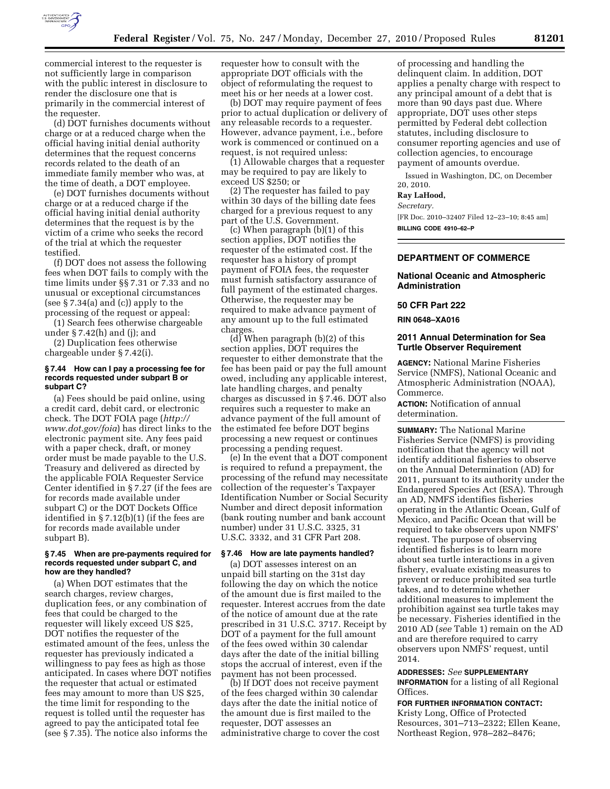

commercial interest to the requester is not sufficiently large in comparison with the public interest in disclosure to render the disclosure one that is primarily in the commercial interest of the requester.

(d) DOT furnishes documents without charge or at a reduced charge when the official having initial denial authority determines that the request concerns records related to the death of an immediate family member who was, at the time of death, a DOT employee.

(e) DOT furnishes documents without charge or at a reduced charge if the official having initial denial authority determines that the request is by the victim of a crime who seeks the record of the trial at which the requester testified.

(f) DOT does not assess the following fees when DOT fails to comply with the time limits under §§ 7.31 or 7.33 and no unusual or exceptional circumstances (see § 7.34(a) and (c)) apply to the processing of the request or appeal:

(1) Search fees otherwise chargeable under § 7.42(h) and (j); and

(2) Duplication fees otherwise chargeable under § 7.42(i).

#### **§ 7.44 How can I pay a processing fee for records requested under subpart B or subpart C?**

(a) Fees should be paid online, using a credit card, debit card, or electronic check. The DOT FOIA page (*[http://](http://www.dot.gov/foia) [www.dot.gov/foia](http://www.dot.gov/foia)*) has direct links to the electronic payment site. Any fees paid with a paper check, draft, or money order must be made payable to the U.S. Treasury and delivered as directed by the applicable FOIA Requester Service Center identified in § 7.27 (if the fees are for records made available under subpart C) or the DOT Dockets Office identified in § 7.12(b)(1) (if the fees are for records made available under subpart B).

#### **§ 7.45 When are pre-payments required for records requested under subpart C, and how are they handled?**

(a) When DOT estimates that the search charges, review charges, duplication fees, or any combination of fees that could be charged to the requester will likely exceed US \$25, DOT notifies the requester of the estimated amount of the fees, unless the requester has previously indicated a willingness to pay fees as high as those anticipated. In cases where DOT notifies the requester that actual or estimated fees may amount to more than US \$25, the time limit for responding to the request is tolled until the requester has agreed to pay the anticipated total fee (see § 7.35). The notice also informs the

requester how to consult with the appropriate DOT officials with the object of reformulating the request to meet his or her needs at a lower cost.

(b) DOT may require payment of fees prior to actual duplication or delivery of any releasable records to a requester. However, advance payment, i.e., before work is commenced or continued on a request, is not required unless:

(1) Allowable charges that a requester may be required to pay are likely to exceed US \$250; or

(2) The requester has failed to pay within 30 days of the billing date fees charged for a previous request to any part of the U.S. Government.

(c) When paragraph (b)(1) of this section applies, DOT notifies the requester of the estimated cost. If the requester has a history of prompt payment of FOIA fees, the requester must furnish satisfactory assurance of full payment of the estimated charges. Otherwise, the requester may be required to make advance payment of any amount up to the full estimated charges.

 $(d)$  When paragraph  $(b)(2)$  of this section applies, DOT requires the requester to either demonstrate that the fee has been paid or pay the full amount owed, including any applicable interest, late handling charges, and penalty charges as discussed in § 7.46. DOT also requires such a requester to make an advance payment of the full amount of the estimated fee before DOT begins processing a new request or continues processing a pending request.

(e) In the event that a DOT component is required to refund a prepayment, the processing of the refund may necessitate collection of the requester's Taxpayer Identification Number or Social Security Number and direct deposit information (bank routing number and bank account number) under 31 U.S.C. 3325, 31 U.S.C. 3332, and 31 CFR Part 208.

#### **§ 7.46 How are late payments handled?**

(a) DOT assesses interest on an unpaid bill starting on the 31st day following the day on which the notice of the amount due is first mailed to the requester. Interest accrues from the date of the notice of amount due at the rate prescribed in 31 U.S.C. 3717. Receipt by DOT of a payment for the full amount of the fees owed within 30 calendar days after the date of the initial billing stops the accrual of interest, even if the payment has not been processed.

(b) If DOT does not receive payment of the fees charged within 30 calendar days after the date the initial notice of the amount due is first mailed to the requester, DOT assesses an administrative charge to cover the cost

of processing and handling the delinquent claim. In addition, DOT applies a penalty charge with respect to any principal amount of a debt that is more than 90 days past due. Where appropriate, DOT uses other steps permitted by Federal debt collection statutes, including disclosure to consumer reporting agencies and use of collection agencies, to encourage payment of amounts overdue.

Issued in Washington, DC, on December 20, 2010.

**Ray LaHood,** 

*Secretary.* 

[FR Doc. 2010–32407 Filed 12–23–10; 8:45 am] **BILLING CODE 4910–62–P** 

### **DEPARTMENT OF COMMERCE**

### **National Oceanic and Atmospheric Administration**

### **50 CFR Part 222**

**RIN 0648–XA016** 

#### **2011 Annual Determination for Sea Turtle Observer Requirement**

**AGENCY:** National Marine Fisheries Service (NMFS), National Oceanic and Atmospheric Administration (NOAA), Commerce.

**ACTION:** Notification of annual determination.

**SUMMARY:** The National Marine Fisheries Service (NMFS) is providing notification that the agency will not identify additional fisheries to observe on the Annual Determination (AD) for 2011, pursuant to its authority under the Endangered Species Act (ESA). Through an AD, NMFS identifies fisheries operating in the Atlantic Ocean, Gulf of Mexico, and Pacific Ocean that will be required to take observers upon NMFS' request. The purpose of observing identified fisheries is to learn more about sea turtle interactions in a given fishery, evaluate existing measures to prevent or reduce prohibited sea turtle takes, and to determine whether additional measures to implement the prohibition against sea turtle takes may be necessary. Fisheries identified in the 2010 AD (*see* Table 1) remain on the AD and are therefore required to carry observers upon NMFS' request, until 2014.

#### **ADDRESSES:** *See* **SUPPLEMENTARY INFORMATION** for a listing of all Regional Offices.

**FOR FURTHER INFORMATION CONTACT:** 

Kristy Long, Office of Protected Resources, 301–713–2322; Ellen Keane, Northeast Region, 978–282–8476;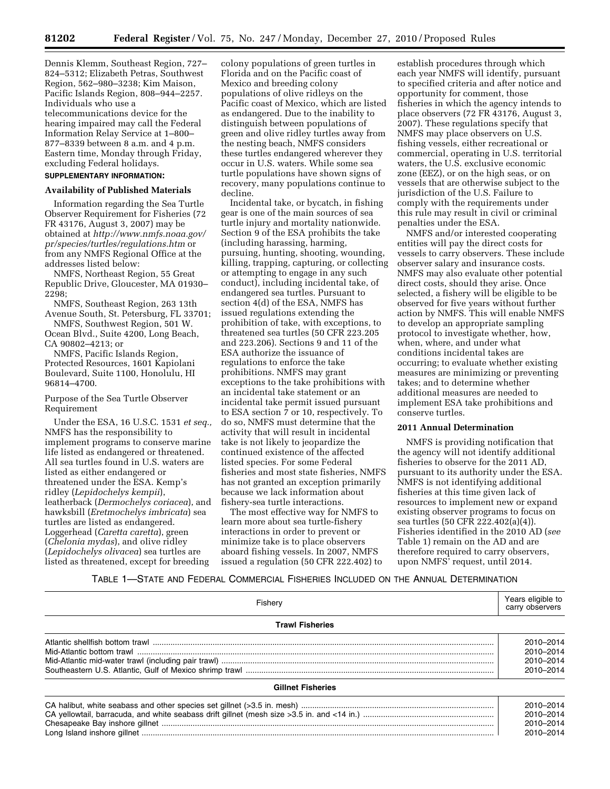Dennis Klemm, Southeast Region, 727– 824–5312; Elizabeth Petras, Southwest Region, 562–980–3238; Kim Maison, Pacific Islands Region, 808–944–2257. Individuals who use a telecommunications device for the hearing impaired may call the Federal Information Relay Service at 1–800– 877–8339 between 8 a.m. and 4 p.m. Eastern time, Monday through Friday, excluding Federal holidays.

## **SUPPLEMENTARY INFORMATION:**

## **Availability of Published Materials**

Information regarding the Sea Turtle Observer Requirement for Fisheries (72 FR 43176, August 3, 2007) may be obtained at *[http://www.nmfs.noaa.gov/](http://www.nmfs.noaa.gov/pr/species/turtles/regulations.htm)  [pr/species/turtles/regulations.htm](http://www.nmfs.noaa.gov/pr/species/turtles/regulations.htm)* or from any NMFS Regional Office at the addresses listed below:

NMFS, Northeast Region, 55 Great Republic Drive, Gloucester, MA 01930– 2298;

NMFS, Southeast Region, 263 13th Avenue South, St. Petersburg, FL 33701;

NMFS, Southwest Region, 501 W. Ocean Blvd., Suite 4200, Long Beach, CA 90802–4213; or

NMFS, Pacific Islands Region, Protected Resources, 1601 Kapiolani Boulevard, Suite 1100, Honolulu, HI 96814–4700.

### Purpose of the Sea Turtle Observer Requirement

Under the ESA, 16 U.S.C. 1531 *et seq.,*  NMFS has the responsibility to implement programs to conserve marine life listed as endangered or threatened. All sea turtles found in U.S. waters are listed as either endangered or threatened under the ESA. Kemp's ridley (*Lepidochelys kempii*), leatherback (*Dermochelys coriacea*), and hawksbill (*Eretmochelys imbricata*) sea turtles are listed as endangered. Loggerhead (*Caretta caretta*), green (*Chelonia mydas*), and olive ridley (*Lepidochelys olivacea*) sea turtles are listed as threatened, except for breeding

colony populations of green turtles in Florida and on the Pacific coast of Mexico and breeding colony populations of olive ridleys on the Pacific coast of Mexico, which are listed as endangered. Due to the inability to distinguish between populations of green and olive ridley turtles away from the nesting beach, NMFS considers these turtles endangered wherever they occur in U.S. waters. While some sea turtle populations have shown signs of recovery, many populations continue to decline.

Incidental take, or bycatch, in fishing gear is one of the main sources of sea turtle injury and mortality nationwide. Section 9 of the ESA prohibits the take (including harassing, harming, pursuing, hunting, shooting, wounding, killing, trapping, capturing, or collecting or attempting to engage in any such conduct), including incidental take, of endangered sea turtles. Pursuant to section 4(d) of the ESA, NMFS has issued regulations extending the prohibition of take, with exceptions, to threatened sea turtles (50 CFR 223.205 and 223.206). Sections 9 and 11 of the ESA authorize the issuance of regulations to enforce the take prohibitions. NMFS may grant exceptions to the take prohibitions with an incidental take statement or an incidental take permit issued pursuant to ESA section 7 or 10, respectively. To do so, NMFS must determine that the activity that will result in incidental take is not likely to jeopardize the continued existence of the affected listed species. For some Federal fisheries and most state fisheries, NMFS has not granted an exception primarily because we lack information about fishery-sea turtle interactions.

The most effective way for NMFS to learn more about sea turtle-fishery interactions in order to prevent or minimize take is to place observers aboard fishing vessels. In 2007, NMFS issued a regulation (50 CFR 222.402) to

establish procedures through which each year NMFS will identify, pursuant to specified criteria and after notice and opportunity for comment, those fisheries in which the agency intends to place observers (72 FR 43176, August 3, 2007). These regulations specify that NMFS may place observers on U.S. fishing vessels, either recreational or commercial, operating in U.S. territorial waters, the U.S. exclusive economic zone (EEZ), or on the high seas, or on vessels that are otherwise subject to the jurisdiction of the U.S. Failure to comply with the requirements under this rule may result in civil or criminal penalties under the ESA.

NMFS and/or interested cooperating entities will pay the direct costs for vessels to carry observers. These include observer salary and insurance costs. NMFS may also evaluate other potential direct costs, should they arise. Once selected, a fishery will be eligible to be observed for five years without further action by NMFS. This will enable NMFS to develop an appropriate sampling protocol to investigate whether, how, when, where, and under what conditions incidental takes are occurring; to evaluate whether existing measures are minimizing or preventing takes; and to determine whether additional measures are needed to implement ESA take prohibitions and conserve turtles.

#### **2011 Annual Determination**

NMFS is providing notification that the agency will not identify additional fisheries to observe for the 2011 AD, pursuant to its authority under the ESA. NMFS is not identifying additional fisheries at this time given lack of resources to implement new or expand existing observer programs to focus on sea turtles (50 CFR 222.402(a)(4)). Fisheries identified in the 2010 AD (*see*  Table 1) remain on the AD and are therefore required to carry observers, upon NMFS' request, until 2014.

## TABLE 1—STATE AND FEDERAL COMMERCIAL FISHERIES INCLUDED ON THE ANNUAL DETERMINATION

| Fishery                  | Years eligible to<br>carry observers             |
|--------------------------|--------------------------------------------------|
| <b>Trawl Fisheries</b>   |                                                  |
|                          | 2010-2014<br>2010-2014<br>2010-2014<br>2010-2014 |
| <b>Gillnet Fisheries</b> |                                                  |
|                          | 2010-2014<br>2010-2014<br>2010-2014<br>2010-2014 |